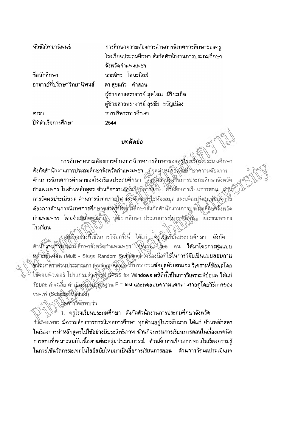หัวข้อวิทยานิพนธ์ การศึกษาความต้องการด้านการนิเทศการศึกษาของครู โรงเรียนประถมศึกษา สังกัดสำนักงานการประถมศึกษา จังหวัดกำแพงเพชร ชื่อนักสึกษา นายจิระ โตมะนิตย์ อาจารย์ที่ปรึกษาวิทยานิพนธ์ ดร.สุขแก้ว คำสอน ผู้ช่วยศาสตราจารย์ สุดใฉน มีริยะเกิด ผู้ช่วยศาสตราจารย์ สุรชัย ขวัญเมือง การบริหารการศึกษา สาขา ปีที่สำเร็จการศึกษา 2544

## บทคัดย่อ

การศึกษาความต้องการด้านการนี้เทศการศึกษาของตรงโรงเสียนโประถมศึกษา .สังกัดสำนักงานการประถมที่กษาจังหวัดกำแพงเพชร มีจุดมุ่งหมัสยิงพิษัติกษาความต้องการ ด้านการนิเทศการศึกษาของโรงเรียนประถมศึกษา สังกุ๊ดสิ่งนั่งงานการประถมศึกษาจังหวัด กำแพงเพชร ในด้านหลักสูตร ด้านกิจกรรมการเรียนงารสอน ด้านสื่อการเรียนการสอน ดัชม์ การวัดผลประเมินผล ด้านการนิเทศภายใน และทำมหางไช้ห้องสมุด และเพื่อเปรียบเซียบี่ความ ค้องการด้านการนิเทศการศึกษาของดูชีวิตรึกษาสิ่งกัดสำนักงานการประถิ่มศึกษาจังหวัด กำแพงเพชร โดยจำผู้นกคลผู้ดูวัย วุฒิการศึกษา ประสบการณ์การทำงาน และขนาดของ โรงเรียน

กสุขสิงอย่างที่ใช้ในการวิจัยครั้งนี้ ได้แก่ สุรุโองเรียนประถมศึกษา สังกัด สำนักงานที่ไปไร่ในศึกษาจังหวัดกำแพงเพชร (จำนวัน) 496 คน ได้มาโดยการสุ่มแบบ หล้ายขั้นต่อน (Multi - Stage Random Sampling) ใครื้องมือที่ใช้ในการวิจัยเป็นแบบสอบถาม ซีนิดมาตราส่วนประมาณค่า (Ratings Seale) เก็บรวบรวมข้อมูลด้วยตนเอง วิเคราะห์ข้อมูลโดย ใช้คอมพิวเตอร์ โปรแกรมสำเร็จสู่ประโรธ for Windows สถิติที่ใช้ในการวิเคราะห์ข้อมล ได้แก่ ร้อยละ ค่าเฉลี่ย ค่าเนี่ยงเป็นมักตั้งฐาน F = test และทดสอบความแตกต่างรายคู่โดยวิธีการของ STHIN (Scheffe Method)

ไไม่มหารวิจัยพบว่า

้า. ครูโรงเรียนประถมศึกษา สังกัดสำนักงานการประถมศึกษาจังหวัด กำแพงเพชร มีความต้องการการนิเทศการศึกษา ทุกด้านอยู่ในระดับมาก ได้แก่ ด้านหลักสตร ในเรื่องการนำหลักสูตรไปใช้อย่างมีประสิทธิภาพ ด้านกิจกรรมการเรียนการสอนในเรื่องเทคนิค ่ การสอนที่เหมาะสมกับเนื้อหาแต่ละกลุ่มประสบการณ์ ด้านสื่อการเรียนการสอนในเรื่องความรู้ ในการใช้นวัตกรรมเทคโนโลยีสมัยใหม่มาเป็นสื่อการเรียนการสอน ด้านการวัดผลประเมินผล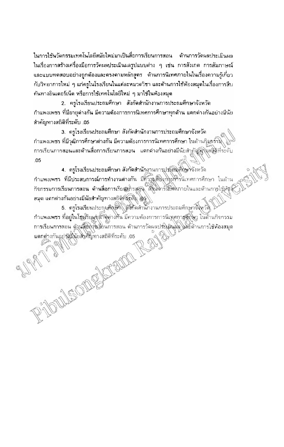ในการใช้นวัดกรรมเทคโนโลยีสมัยใหม่มาเป็นสื่อการเรียนการสอน ด้านการวัดนลประเมินผล ในเรื่องการสร้างเครื่องมือการวัดผลประเมินผลรูปแบบต่าง ๆ เช่น การสังเกต การสัมภาษณ์ ้ และแบบทดสอบอย่างถูกต้องและตรงตามหลักสูตร – ด้านการนิเทศภายในในเรื่องความรู้เกี่ยว ้กับวิทยาการใหม่ ๆ แก่ครูในโรงเรียนในแต่ละหมวดวิชา และด้านการใช้ห้องสมุดในเรื่องการสืบ ้ค้นทางอินเตอร์เน็ต หรือการใช้เทคโนโลยีใหม่ ๆ มาใช้ในห้องสมุด

2. ครูโรงเรียนประถมศึกษา สังกัดสำนักงานการประถมศึกษาจังหวัด ้กำแพงเพชร ที่มีอายุต่างกัน มีความต้องการการนิเทศการศึกษาทุกด้าน แตกต่างกันอย่างมีนัย สำคัญทางสถิติที่ระดับ .05

3. ครูโรงเรียนประถมศึกษา สังกัดสำนักงานการประถมศึกษาจังหวัด กำแพงเพชร ที่มีวุฒิการศึกษาต่างกัน มีความต้องการการนิเทศการศึกษา ในด้านกุิงกร์รมิ การเรียนการสอนและด้านสื่อการเรียนการสอน แตกต่างกันอย่างมีนัยสำคัญที่จุดสิติที่ระดับ  $.05$ 

4. ครูโรงเรียนประถมศึกษา สังกัดสำนักงานการประติมติกษาจังหวัด กำแพงเพชร ที่มีประสบการณ์การทำงานต่างกัน มีทั้วกุมดียิงก\รหรรนิเทศการศึกษา ในด้าน ก็จกรรมการเรียนการสอน ด้านสื่อการเรียนหริกสอน ดังนี้มารณีพิศภายในและด้านการใช้ห้อง สมุด แตกต่างกันอย่างมีนัยสำคัญทางสถิติที่สุดปี  $\frac{\lambda_S}{\lambda_S}$ 

5. ครูโรงเรียนประกุมศึกษ์ โด๊ที่ตล้านกงานการประถมตึกษาจึงิตวัด กำแพงเพชร ที่อยู่ในโรงรัยมูลุนักจิต่างค้น มีความต้องการการนิเทศการศึกษา ในด้านกิจกรรม การเรียนการลอน ตัวนรียิงกุ่งเรียนการสอน ด้านการวัดผลประเภิมพิจู ได้รู้ด้านการใช้ห้องสมุด ALLE OF CHANGE AND REAL แตกต่างกันอยู่สมินัยสิ่งที่ญี่ทางสถิติที่ระดับ .05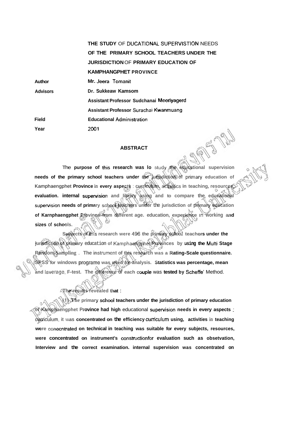**Author Advisors Field Year THE STUDY** OF **DUCATlONAL SUPERVISTION** NEEDS **OF THE PRIMARY SCHOOL TEACHERS UNDER THE JURISDICTION** OF **PRIMARY EDUCATION OF KAMPHANGPHET PROVINCE Mr. Jeera** Tomanit **Dr. Sukkeaw Kamsom Assistant Professor Sudchanai Meeriyagerd Assistant Professor Surachai Kwanmuang Educational Administration** 2001

## **ABSTRACT**

The **purpose of this research was lo** study the educational supervision **needs of the primary school teachers under the jurisdiction of pnrnary education of**  Kamphaengphet **Province** in **every aspects** : **curriculum, activities in teaching, resources,**  evaluation. internal supervision and library using and to compare the educational **supervision needs of primary school teachers under the jurisdiction of primary education**  of Karnphaengphet Rfovince from different age. education, experience In working and **sizes** of **schools.** 

**Subjects of thrs research were 496 the primary school teachers under the jurisdiction of primary education of Karriphaengphet Provinces by using the Mufti Stage Random Sampling** . **The instrument of this research was a Rating-Scale questionnaire.**  SRSS<sup>V</sup> for windows programe was used for analysis. Statistics was percentage, mean **and laverage, F-test. The difference of each muple** was **tested by Scheffe'** Method.

**The results revealed that** :

**(1) The primary school teachers under the jurisdiction of primary education of Kamphaengphet Province had high** educational **supervision needs in every aspects** : **curriculum, it** was **concentrated on the efficiency cumculum using, activities** in **teaching**  were conecntrated on technical in teaching was suitable for every subjects, resources, **were concentrated on instrument's constructionfor evaluation such as obsetvation, Interview and the correct examination. internal supervision was concentrated on**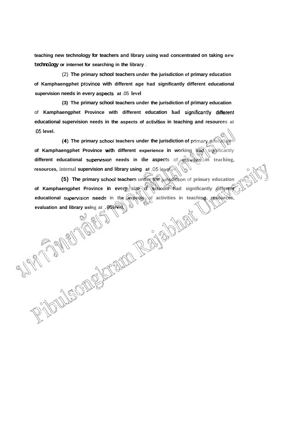**teaching new technology for teachers and library using wad concentrated on taking new technology or internet for searching in the library** .

(2) **The primary school teachers under he jurisdiction of primary education**  of Kamphaengphet province with different age had significantly different educational **supervision needs in every aspects at** .05 **level** 

**(3) The primary school teachers under the jurisdiction of primary education**  of **Kamphaengphet Province with different education had significantty different educational supervision needs in the aspects of activities in teaching and resources at**  .05 **level.** 

**(4) The primary school teachers under the jurisdiction of primary educational of Kamphaengphet Province with different experience in working had significantly different educational supervision needs in the aspects** of **advitables** in teaching, **resources,** internal **supervision and library using at -05 level.** 

**(5) The primary school teachers under the junsdiction of primary education of Kamphaengphet Province in every size of schools had significantly different**  educational supervision needs in the aspects of activities in teaching, resoluces, exaluation and library using at .  $\sigma$ spectry) of activities in teaching, resoluces,  $\sigma$  and  $\sigma$  and  $\sigma$  and  $\sigma$  and  $\sigma$  and  $\sigma$  and **evaluation and library using at .05 level.**